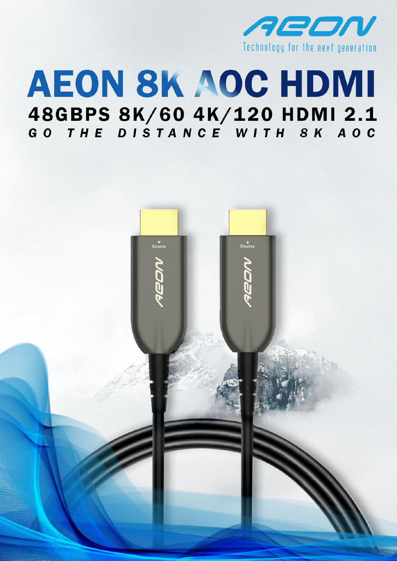

# **AEON 8K AOC HDMI** 48GBPS 8K/60 4K/120 HDMI 2.1<br>GO THE DISTANCE WITH 8K AOC